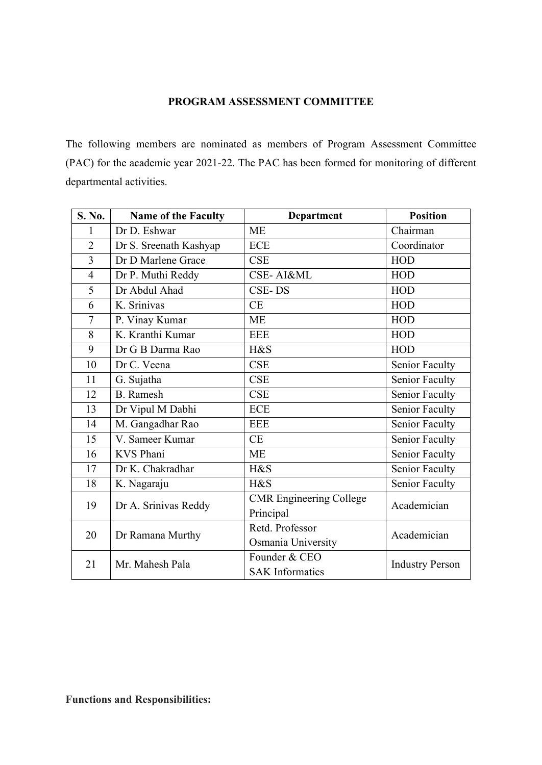## **PROGRAM ASSESSMENT COMMITTEE**

The following members are nominated as members of Program Assessment Committee (PAC) for the academic year 2021-22. The PAC has been formed for monitoring of different departmental activities.

| S. No.         | <b>Name of the Faculty</b> | <b>Department</b>                           | <b>Position</b>        |
|----------------|----------------------------|---------------------------------------------|------------------------|
| 1              | Dr D. Eshwar               | <b>ME</b>                                   | Chairman               |
| $\overline{2}$ | Dr S. Sreenath Kashyap     | <b>ECE</b>                                  | Coordinator            |
| $\overline{3}$ | Dr D Marlene Grace         | <b>CSE</b>                                  | <b>HOD</b>             |
| $\overline{4}$ | Dr P. Muthi Reddy          | <b>CSE-AI&amp;ML</b>                        | <b>HOD</b>             |
| 5              | Dr Abdul Ahad              | CSE-DS                                      | <b>HOD</b>             |
| 6              | K. Srinivas                | <b>CE</b>                                   | <b>HOD</b>             |
| $\overline{7}$ | P. Vinay Kumar             | <b>ME</b>                                   | <b>HOD</b>             |
| 8              | K. Kranthi Kumar           | <b>EEE</b>                                  | <b>HOD</b>             |
| 9              | Dr G B Darma Rao           | H&S                                         | <b>HOD</b>             |
| 10             | Dr C. Veena                | <b>CSE</b>                                  | Senior Faculty         |
| 11             | G. Sujatha                 | <b>CSE</b>                                  | Senior Faculty         |
| 12             | <b>B.</b> Ramesh           | <b>CSE</b>                                  | Senior Faculty         |
| 13             | Dr Vipul M Dabhi           | <b>ECE</b>                                  | Senior Faculty         |
| 14             | M. Gangadhar Rao           | <b>EEE</b>                                  | Senior Faculty         |
| 15             | V. Sameer Kumar            | <b>CE</b>                                   | Senior Faculty         |
| 16             | <b>KVS Phani</b>           | <b>ME</b>                                   | Senior Faculty         |
| 17             | Dr K. Chakradhar           | H&S                                         | Senior Faculty         |
| 18             | K. Nagaraju                | H&S                                         | Senior Faculty         |
| 19             | Dr A. Srinivas Reddy       | <b>CMR</b> Engineering College<br>Principal | Academician            |
| 20             | Dr Ramana Murthy           | Retd. Professor<br>Osmania University       | Academician            |
| 21             | Mr. Mahesh Pala            | Founder & CEO<br><b>SAK</b> Informatics     | <b>Industry Person</b> |